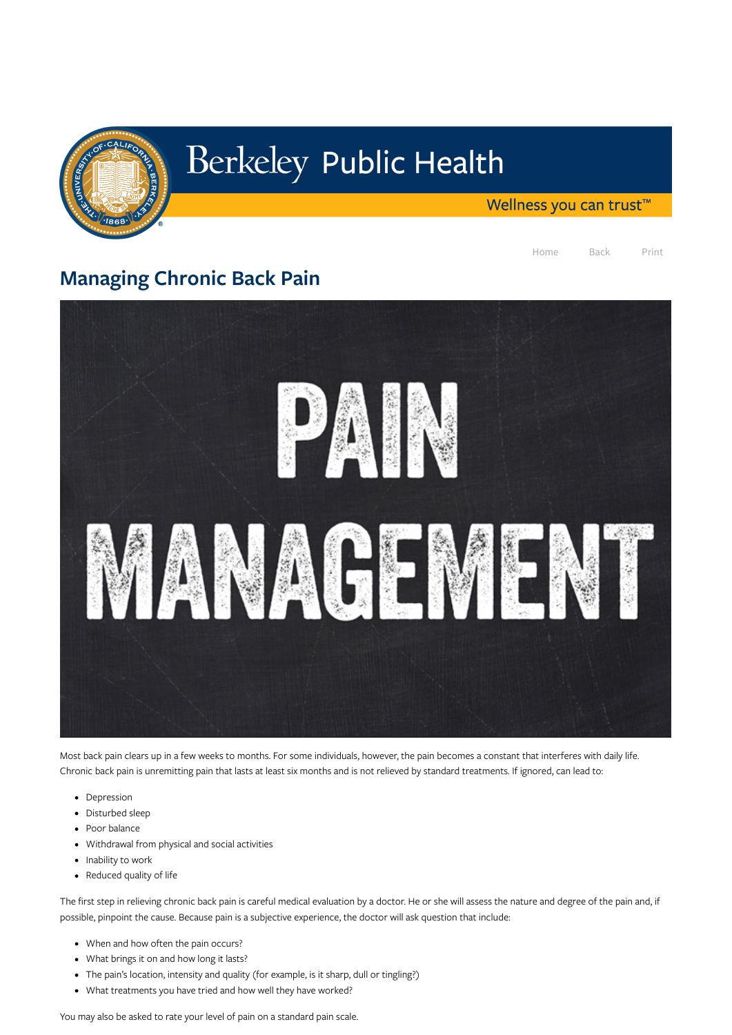

## Berkeley Public Health

Wellness you can trust<sup>™</sup>

Home Back Print

## Managing Chronic Back Pain



Most back pain clears up in a few weeks to months. For some individuals, however, the pain becomes a constant that interferes with daily life. Chronic back pain is unremitting pain that lasts at least six months and is not relieved by standard treatments. If ignored, can lead to:

- Depression
- Disturbed sleep
- Poor balance
- Withdrawal from physical and social activities
- $\bullet$  Inability to work
- Reduced quality of life

- When and how often the pain occurs?
- What brings it on and how long it lasts?
- The pain's location, intensity and quality (for example, is it sharp, dull or tingling?)
- What treatments you have tried and how well they have worked?

The first step in relieving chronic back pain is careful medical evaluation by a doctor. He or she will assess the nature and degree of the pain and, if possible, pinpoint the cause. Because pain is a subjective experience, the doctor will ask question that include:

You may also be asked to rate your level of pain on a standard pain scale.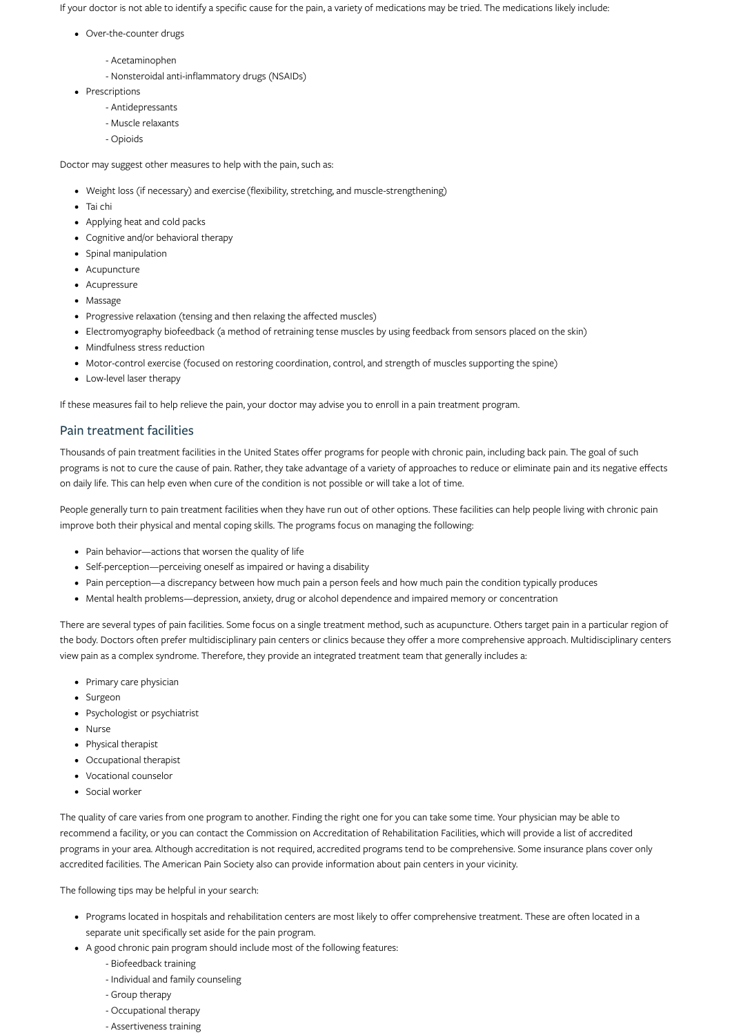If your doctor is not able to identify a specific cause for the pain, a variety of medications may be tried. The medications likely include:

- Over-the-counter drugs
	- Acetaminophen
- Nonsteroidal anti-inflammatory drugs (NSAIDs)
- Prescriptions
	- Antidepressants
	- Muscle relaxants
	- Opioids

- Weight loss (if necessary) and exercise (flexibility, stretching, and muscle-strengthening)
- Tai chi
- Applying heat and cold packs
- Cognitive and/or behavioral therapy
- Spinal manipulation
- Acupuncture
- Acupressure
- Massage
- Progressive relaxation (tensing and then relaxing the affected muscles)
- Electromyography biofeedback (a method of retraining tense muscles by using feedback from sensors placed on the skin)
- Mindfulness stress reduction
- Motor-control exercise (focused on restoring coordination, control, and strength of muscles supporting the spine)
- Low-level laser therapy

Doctor may suggest other measures to help with the pain, such as:

People generally turn to pain treatment facilities when they have run out of other options. These facilities can help people living with chronic pain improve both their physical and mental coping skills. The programs focus on managing the following:

If these measures fail to help relieve the pain, your doctor may advise you to enroll in a pain treatment program.

- Pain behavior—actions that worsen the quality of life
- Self-perception—perceiving oneself as impaired or having a disability
- Pain perception—a discrepancy between how much pain a person feels and how much pain the condition typically produces
- Mental health problems—depression, anxiety, drug or alcohol dependence and impaired memory or concentration

## Pain treatment facilities

Thousands of pain treatment facilities in the United States offer programs for people with chronic pain, including back pain. The goal of such programs is not to cure the cause of pain. Rather, they take advantage of a variety of approaches to reduce or eliminate pain and its negative effects on daily life. This can help even when cure of the condition is not possible or will take a lot of time.

- Primary care physician
- Surgeon
- Psychologist or psychiatrist
- Nurse
- Physical therapist
- Occupational therapist
- Vocational counselor

• Social worker

There are several types of pain facilities. Some focus on a single treatment method, such as acupuncture. Others target pain in a particular region of the body. Doctors often prefer multidisciplinary pain centers or clinics because they offer a more comprehensive approach. Multidisciplinary centers view pain as a complex syndrome. Therefore, they provide an integrated treatment team that generally includes a:

The quality of care varies from one program to another. Finding the right one for you can take some time. Your physician may be able to recommend a facility, or you can contact the Commission on Accreditation of Rehabilitation Facilities, which will provide a list of accredited programs in your area. Although accreditation is not required, accredited programs tend to be comprehensive. Some insurance plans cover only accredited facilities. The American Pain Society also can provide information about pain centers in your vicinity.

The following tips may be helpful in your search:

- Programs located in hospitals and rehabilitation centers are most likely to offer comprehensive treatment. These are often located in a separate unit specifically set aside for the pain program.
- A good chronic pain program should include most of the following features:
	- Biofeedback training
	- Individual and family counseling
	- Group therapy
	- Occupational therapy
	- Assertiveness training